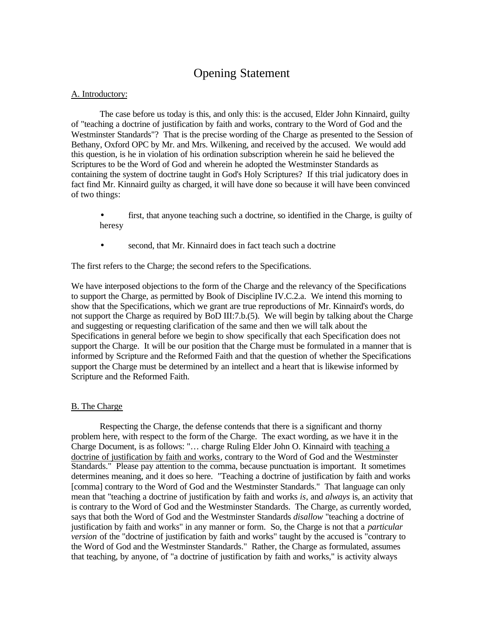# Opening Statement

### A. Introductory:

The case before us today is this, and only this: is the accused, Elder John Kinnaird, guilty of "teaching a doctrine of justification by faith and works, contrary to the Word of God and the Westminster Standards"? That is the precise wording of the Charge as presented to the Session of Bethany, Oxford OPC by Mr. and Mrs. Wilkening, and received by the accused. We would add this question, is he in violation of his ordination subscription wherein he said he believed the Scriptures to be the Word of God and wherein he adopted the Westminster Standards as containing the system of doctrine taught in God's Holy Scriptures? If this trial judicatory does in fact find Mr. Kinnaird guilty as charged, it will have done so because it will have been convinced of two things:

- first, that anyone teaching such a doctrine, so identified in the Charge, is guilty of heresy
- second, that Mr. Kinnaird does in fact teach such a doctrine

The first refers to the Charge; the second refers to the Specifications.

We have interposed objections to the form of the Charge and the relevancy of the Specifications to support the Charge, as permitted by Book of Discipline IV.C.2.a. We intend this morning to show that the Specifications, which we grant are true reproductions of Mr. Kinnaird's words, do not support the Charge as required by BoD III:7.b.(5). We will begin by talking about the Charge and suggesting or requesting clarification of the same and then we will talk about the Specifications in general before we begin to show specifically that each Specification does not support the Charge. It will be our position that the Charge must be formulated in a manner that is informed by Scripture and the Reformed Faith and that the question of whether the Specifications support the Charge must be determined by an intellect and a heart that is likewise informed by Scripture and the Reformed Faith.

## B. The Charge

Respecting the Charge, the defense contends that there is a significant and thorny problem here, with respect to the form of the Charge. The exact wording, as we have it in the Charge Document, is as follows: "… charge Ruling Elder John O. Kinnaird with teaching a doctrine of justification by faith and works, contrary to the Word of God and the Westminster Standards." Please pay attention to the comma, because punctuation is important. It sometimes determines meaning, and it does so here. "Teaching a doctrine of justification by faith and works [comma] contrary to the Word of God and the Westminster Standards." That language can only mean that "teaching a doctrine of justification by faith and works *is,* and *always* is, an activity that is contrary to the Word of God and the Westminster Standards. The Charge, as currently worded, says that both the Word of God and the Westminster Standards *disallow* "teaching a doctrine of justification by faith and works" in any manner or form. So, the Charge is not that a *particular version* of the "doctrine of justification by faith and works" taught by the accused is "contrary to the Word of God and the Westminster Standards." Rather, the Charge as formulated, assumes that teaching, by anyone, of "a doctrine of justification by faith and works," is activity always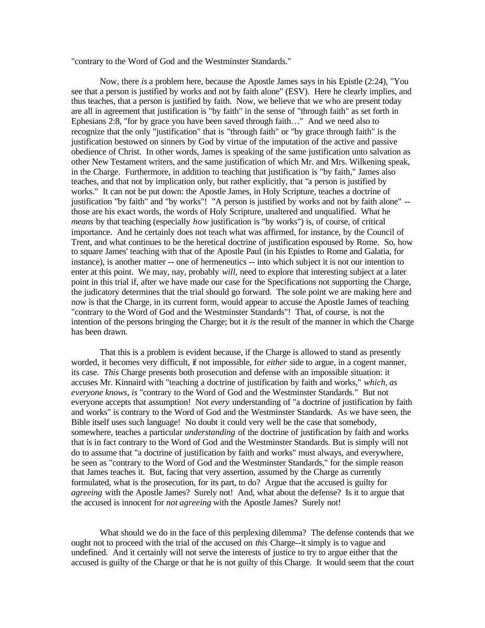"contrary to the Word of God and the Westminster Standards."

Now, there *is* a problem here, because the Apostle James says in his Epistle (2:24), "You see that a person is justified by works and not by faith alone" (ESV). Here he clearly implies, and thus teaches, that a person is justified by faith. Now, we believe that we who are present today are all in agreement that justification is "by faith" in the sense of "through faith" as set forth in Ephesians 2:8, "for by grace you have been saved through faith…" And we need also to recognize that the only "justification" that is "through faith" or "by grace through faith" is the justification bestowed on sinners by God by virtue of the imputation of the active and passive obedience of Christ. In other words, James is speaking of the same justification unto salvation as other New Testament writers, and the same justification of which Mr. and Mrs. Wilkening speak, in the Charge. Furthermore, in addition to teaching that justification is "by faith," James also teaches, and that not by implication only, but rather explicitly, that "a person is justified by works." It can not be put down: the Apostle James, in Holy Scripture, teaches a doctrine of justification "by faith" and "by works"! "A person is justified by works and not by faith alone" - those are his exact words, the words of Holy Scripture, unaltered and unqualified. What he *means* by that teaching (especially *how* justification is "by works") is, of course, of critical importance. And he certainly does not teach what was affirmed, for instance, by the Council of Trent, and what continues to be the heretical doctrine of justification espoused by Rome. So, how to square James' teaching with that of the Apostle Paul (in his Epistles to Rome and Galatia, for instance), is another matter -- one of hermeneutics -- into which subject it is not our intention to enter at this point. We may, nay, probably *will,* need to explore that interesting subject at a later point in this trial if, after we have made our case for the Specifications not supporting the Charge, the judicatory determines that the trial should go forward. The sole point we are making here and now is that the Charge, in its current form, would appear to accuse the Apostle James of teaching "contrary to the Word of God and the Westminster Standards"! That, of course, is not the intention of the persons bringing the Charge; but it *is* the result of the manner in which the Charge has been drawn.

That this is a problem is evident because, if the Charge is allowed to stand as presently worded, it becomes very difficult, if not impossible, for *either* side to argue, in a cogent manner, its case. *This* Charge presents both prosecution and defense with an impossible situation: it accuses Mr. Kinnaird with "teaching a doctrine of justification by faith and works," *which, as everyone knows, is* "contrary to the Word of God and the Westminster Standards." But not everyone accepts that assumption! Not *every* understanding of "a doctrine of justification by faith and works" is contrary to the Word of God and the Westminster Standards. As we have seen, the Bible itself uses such language! No doubt it could very well be the case that somebody, somewhere, teaches a particular *understanding* of the doctrine of justification by faith and works that is in fact contrary to the Word of God and the Westminster Standards. But is simply will not do to assume that "a doctrine of justification by faith and works" must always, and everywhere, be seen as "contrary to the Word of God and the Westminster Standards," for the simple reason that James teaches it. But, facing that very assertion, assumed by the Charge as currently formulated, what is the prosecution, for its part, to do? Argue that the accused is guilty for *agreeing* with the Apostle James? Surely not! And, what about the defense? Is it to argue that the accused is innocent for *not agreeing* with the Apostle James? Surely not!

What should we do in the face of this perplexing dilemma? The defense contends that we ought not to proceed with the trial of the accused on *this* Charge--it simply is to vague and undefined. And it certainly will not serve the interests of justice to try to argue either that the accused is guilty of the Charge or that he is not guilty of this Charge. It would seem that the court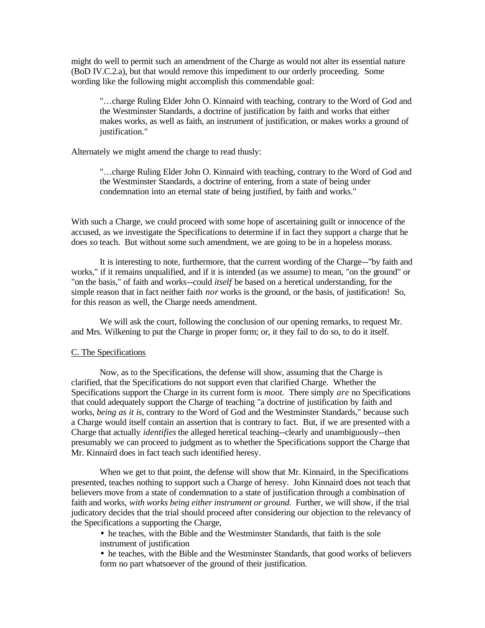might do well to permit such an amendment of the Charge as would not alter its essential nature (BoD IV.C.2.a), but that would remove this impediment to our orderly proceeding. Some wording like the following might accomplish this commendable goal:

"…charge Ruling Elder John O. Kinnaird with teaching, contrary to the Word of God and the Westminster Standards, a doctrine of justification by faith and works that either makes works, as well as faith, an instrument of justification, or makes works a ground of justification."

Alternately we might amend the charge to read thusly:

"…charge Ruling Elder John O. Kinnaird with teaching, contrary to the Word of God and the Westminster Standards, a doctrine of entering, from a state of being under condemnation into an eternal state of being justified, by faith and works."

With such a Charge, we could proceed with some hope of ascertaining guilt or innocence of the accused, as we investigate the Specifications to determine if in fact they support a charge that he does *so* teach. But without some such amendment, we are going to be in a hopeless morass.

It is interesting to note, furthermore, that the current wording of the Charge--"by faith and works," if it remains unqualified, and if it is intended (as we assume) to mean, "on the ground" or "on the basis," of faith and works--could *itself* be based on a heretical understanding, for the simple reason that in fact neither faith *nor* works is the ground, or the basis, of justification! So, for this reason as well, the Charge needs amendment.

We will ask the court, following the conclusion of our opening remarks, to request Mr. and Mrs. Wilkening to put the Charge in proper form; or, it they fail to do so, to do it itself.

#### C. The Specifications

Now, as to the Specifications, the defense will show, assuming that the Charge is clarified, that the Specifications do not support even that clarified Charge. Whether the Specifications support the Charge in its current form is *moot.* There simply *are* no Specifications that could adequately support the Charge of teaching "a doctrine of justification by faith and works, *being as it is*, contrary to the Word of God and the Westminster Standards," because such a Charge would itself contain an assertion that is contrary to fact. But, if we are presented with a Charge that actually *identifies* the alleged heretical teaching--clearly and unambiguously--then presumably we can proceed to judgment as to whether the Specifications support the Charge that Mr. Kinnaird does in fact teach such identified heresy.

When we get to that point, the defense will show that Mr. Kinnaird, in the Specifications presented, teaches nothing to support such a Charge of heresy. John Kinnaird does not teach that believers move from a state of condemnation to a state of justification through a combination of faith and works, *with works being either instrument or ground.* Further, we will show, if the trial judicatory decides that the trial should proceed after considering our objection to the relevancy of the Specifications a supporting the Charge,

- he teaches, with the Bible and the Westminster Standards, that faith is the sole instrument of justification
- he teaches, with the Bible and the Westminster Standards, that good works of believers form no part whatsoever of the ground of their justification.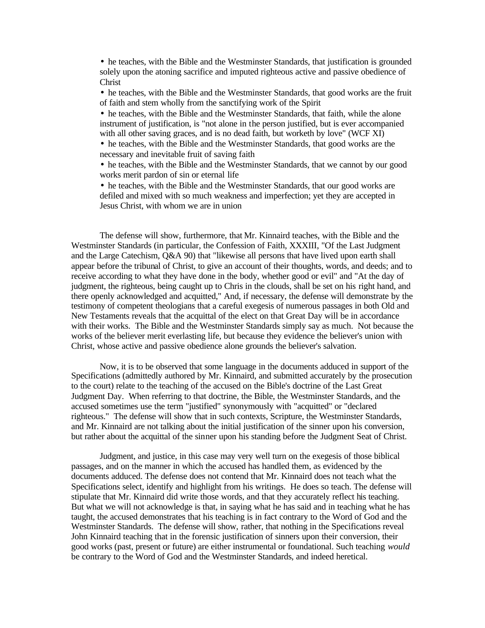• he teaches, with the Bible and the Westminster Standards, that justification is grounded solely upon the atoning sacrifice and imputed righteous active and passive obedience of Christ

• he teaches, with the Bible and the Westminster Standards, that good works are the fruit of faith and stem wholly from the sanctifying work of the Spirit

• he teaches, with the Bible and the Westminster Standards, that faith, while the alone instrument of justification, is "not alone in the person justified, but is ever accompanied with all other saving graces, and is no dead faith, but worketh by love" (WCF XI)

• he teaches, with the Bible and the Westminster Standards, that good works are the necessary and inevitable fruit of saving faith

• he teaches, with the Bible and the Westminster Standards, that we cannot by our good works merit pardon of sin or eternal life

• he teaches, with the Bible and the Westminster Standards, that our good works are defiled and mixed with so much weakness and imperfection; yet they are accepted in Jesus Christ, with whom we are in union

The defense will show, furthermore, that Mr. Kinnaird teaches, with the Bible and the Westminster Standards (in particular, the Confession of Faith, XXXIII, "Of the Last Judgment and the Large Catechism, Q&A 90) that "likewise all persons that have lived upon earth shall appear before the tribunal of Christ, to give an account of their thoughts, words, and deeds; and to receive according to what they have done in the body, whether good or evil" and "At the day of judgment, the righteous, being caught up to Chris in the clouds, shall be set on his right hand, and there openly acknowledged and acquitted," And, if necessary, the defense will demonstrate by the testimony of competent theologians that a careful exegesis of numerous passages in both Old and New Testaments reveals that the acquittal of the elect on that Great Day will be in accordance with their works. The Bible and the Westminster Standards simply say as much. Not because the works of the believer merit everlasting life, but because they evidence the believer's union with Christ, whose active and passive obedience alone grounds the believer's salvation.

Now, it is to be observed that some language in the documents adduced in support of the Specifications (admittedly authored by Mr. Kinnaird, and submitted accurately by the prosecution to the court) relate to the teaching of the accused on the Bible's doctrine of the Last Great Judgment Day. When referring to that doctrine, the Bible, the Westminster Standards, and the accused sometimes use the term "justified" synonymously with "acquitted" or "declared righteous." The defense will show that in such contexts, Scripture, the Westminster Standards, and Mr. Kinnaird are not talking about the initial justification of the sinner upon his conversion, but rather about the acquittal of the sinner upon his standing before the Judgment Seat of Christ.

Judgment, and justice, in this case may very well turn on the exegesis of those biblical passages, and on the manner in which the accused has handled them, as evidenced by the documents adduced. The defense does not contend that Mr. Kinnaird does not teach what the Specifications select, identify and highlight from his writings. He does so teach. The defense will stipulate that Mr. Kinnaird did write those words, and that they accurately reflect his teaching. But what we will not acknowledge is that, in saying what he has said and in teaching what he has taught, the accused demonstrates that his teaching is in fact contrary to the Word of God and the Westminster Standards. The defense will show, rather, that nothing in the Specifications reveal John Kinnaird teaching that in the forensic justification of sinners upon their conversion, their good works (past, present or future) are either instrumental or foundational. Such teaching *would*  be contrary to the Word of God and the Westminster Standards, and indeed heretical.